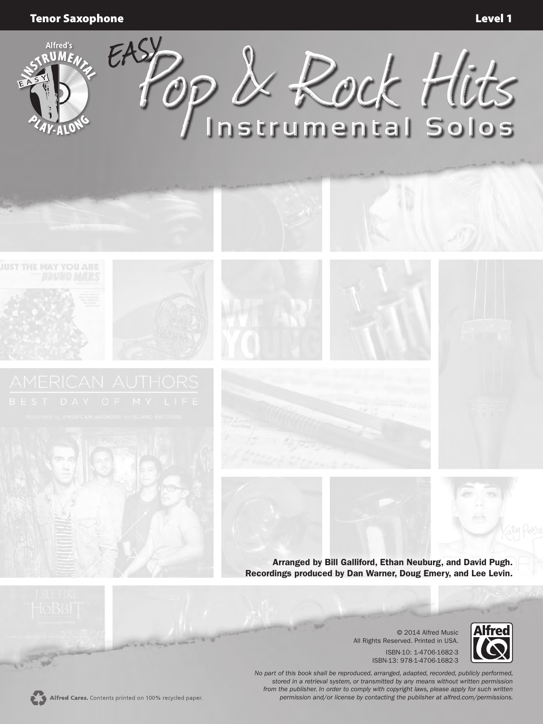Tenor Saxophone Level 1



© 2014 Alfred Music All Rights Reserved. Printed in USA. ISBN-10: 1-4706-1682-3 ISBN-13: 978-1-4706-1682-3



*No part of this book shall be reproduced, arranged, adapted, recorded, publicly performed, stored in a retrieval system, or transmitted by any means without written permission from the publisher. In order to comply with copyright laws, please apply for such written permission and/or license by contacting the publisher at alfred.com/permissions.*

**SEP**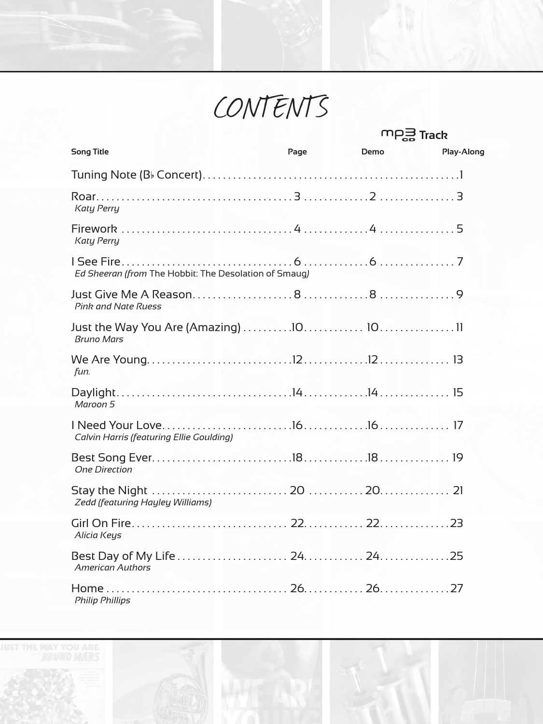CONTENTS

⊃

|                                                       |      | $m_{\overrightarrow{EB}}$ Track |            |
|-------------------------------------------------------|------|---------------------------------|------------|
| <b>Song Title</b>                                     | Page | Demo                            | Play-Along |
|                                                       |      |                                 |            |
| Katy Perry                                            |      |                                 |            |
| <b>Katy Perry</b>                                     |      |                                 |            |
| Ed Sheeran (from The Hobbit: The Desolation of Smaug) |      |                                 |            |
| <b>Pink and Nate Ruess</b>                            |      |                                 |            |
| <b>Bruno Mars</b>                                     |      |                                 |            |
| fun.                                                  |      |                                 |            |
| Maroon 5                                              |      |                                 |            |
| <b>Calvin Harris (featuring Ellie Goulding)</b>       |      |                                 |            |
| <b>One Direction</b>                                  |      |                                 |            |
| Zedd (featuring Hayley Williams)                      |      |                                 |            |
| Alicia Keys                                           |      |                                 |            |
| <b>American Authors</b>                               |      |                                 |            |
| <b>Philip Phillips</b>                                |      |                                 |            |